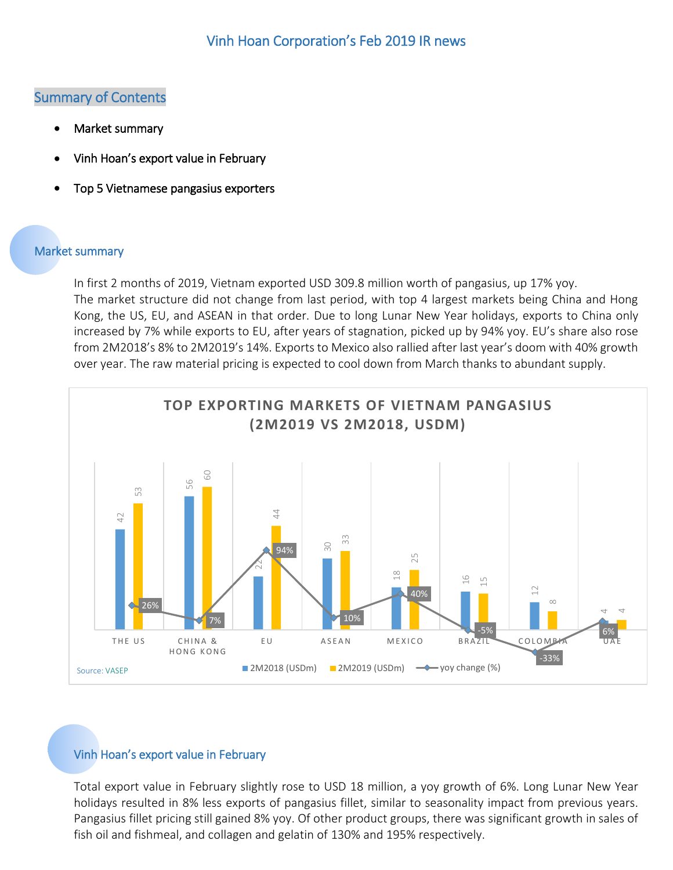## Summary of Contents

- [Market summary](#page-0-0)
- Vinh Hoan's [export value in February](#page-0-1)
- [Top 5 Vietnamese pangasius exporters](#page-1-0)

## <span id="page-0-0"></span>Market summary

In first 2 months of 2019, Vietnam exported USD 309.8 million worth of pangasius, up 17% yoy. The market structure did not change from last period, with top 4 largest markets being China and Hong Kong, the US, EU, and ASEAN in that order. Due to long Lunar New Year holidays, exports to China only increased by 7% while exports to EU, after years of stagnation, picked up by 94% yoy. EU's share also rose from 2M2018's 8% to 2M2019's 14%. Exports to Mexico also rallied after last year's doom with 40% growth over year. The raw material pricing is expected to cool down from March thanks to abundant supply.



## <span id="page-0-1"></span>Vinh Hoan's export value in February

Total export value in February slightly rose to USD 18 million, a yoy growth of 6%. Long Lunar New Year holidays resulted in 8% less exports of pangasius fillet, similar to seasonality impact from previous years. Pangasius fillet pricing still gained 8% yoy. Of other product groups, there was significant growth in sales of fish oil and fishmeal, and collagen and gelatin of 130% and 195% respectively.